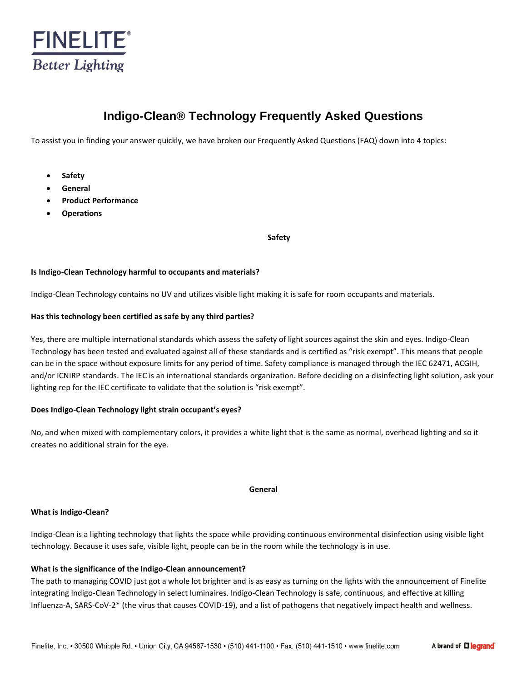

# **Indigo-Clean® Technology Frequently Asked Questions**

To assist you in finding your answer quickly, we have broken our Frequently Asked Questions (FAQ) down into 4 topics:

- **Safety**
- **General**
- **Product Performance**
- **Operations**

**Safety**

# **Is Indigo-Clean Technology harmful to occupants and materials?**

Indigo-Clean Technology contains no UV and utilizes visible light making it is safe for room occupants and materials.

# **Has this technology been certified as safe by any third parties?**

Yes, there are multiple international standards which assess the safety of light sources against the skin and eyes. Indigo-Clean Technology has been tested and evaluated against all of these standards and is certified as "risk exempt". This means that people can be in the space without exposure limits for any period of time. Safety compliance is managed through the IEC 62471, ACGIH, and/or ICNIRP standards. The IEC is an international standards organization. Before deciding on a disinfecting light solution, ask your lighting rep for the IEC certificate to validate that the solution is "risk exempt".

# **Does Indigo-Clean Technology light strain occupant's eyes?**

No, and when mixed with complementary colors, it provides a white light that is the same as normal, overhead lighting and so it creates no additional strain for the eye.

#### **General**

#### **What is Indigo-Clean?**

Indigo-Clean is a lighting technology that lights the space while providing continuous environmental disinfection using visible light technology. Because it uses safe, visible light, people can be in the room while the technology is in use.

# **What is the significance of the Indigo-Clean announcement?**

The path to managing COVID just got a whole lot brighter and is as easy as turning on the lights with the announcement of Finelite integrating Indigo-Clean Technology in select luminaires. Indigo-Clean Technology is safe, continuous, and effective at killing Influenza-A, SARS-CoV-2\* (the virus that causes COVID-19), and a list of pathogens that negatively impact health and wellness.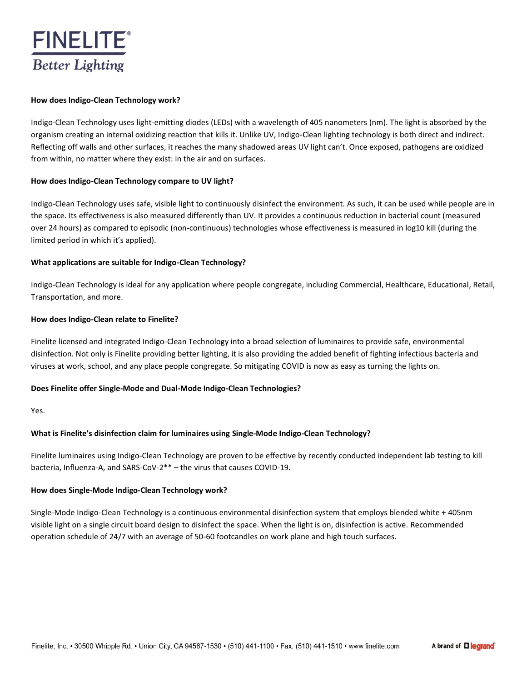

#### **How does Indigo-Clean Technology work?**

Indigo-Clean Technology uses light-emitting diodes (LEDs) with a wavelength of 405 nanometers (nm). The light is absorbed by the organism creating an internal oxidizing reaction that kills it. Unlike UV, Indigo-Clean lighting technology is both direct and indirect. Reflecting off walls and other surfaces, it reaches the many shadowed areas UV light can't. Once exposed, pathogens are oxidized from within, no matter where they exist: in the air and on surfaces.

# **How does Indigo-Clean Technology compare to UV light?**

Indigo-Clean Technology uses safe, visible light to continuously disinfect the environment. As such, it can be used while people are in the space. Its effectiveness is also measured differently than UV. It provides a continuous reduction in bacterial count (measured over 24 hours) as compared to episodic (non-continuous) technologies whose effectiveness is measured in log10 kill (during the limited period in which it's applied).

# **What applications are suitable for Indigo-Clean Technology?**

Indigo-Clean Technology is ideal for any application where people congregate, including Commercial, Healthcare, Educational, Retail, Transportation, and more.

#### **How does Indigo-Clean relate to Finelite?**

Finelite licensed and integrated Indigo-Clean Technology into a broad selection of luminaires to provide safe, environmental disinfection. Not only is Finelite providing better lighting, it is also providing the added benefit of fighting infectious bacteria and viruses at work, school, and any place people congregate. So mitigating COVID is now as easy as turning the lights on.

#### **Does Finelite offer Single-Mode and Dual-Mode Indigo-Clean Technologies?**

Yes.

# **What is Finelite's disinfection claim for luminaires using Single-Mode Indigo-Clean Technology?**

Finelite luminaires using Indigo-Clean Technology are proven to be effective by recently conducted independent lab testing to kill bacteria, Influenza-A, and SARS-CoV-2\*\* – the virus that causes COVID-19**.**

#### **How does Single-Mode Indigo-Clean Technology work?**

Single-Mode Indigo-Clean Technology is a continuous environmental disinfection system that employs blended white + 405nm visible light on a single circuit board design to disinfect the space. When the light is on, disinfection is active. Recommended operation schedule of 24/7 with an average of 50-60 footcandles on work plane and high touch surfaces.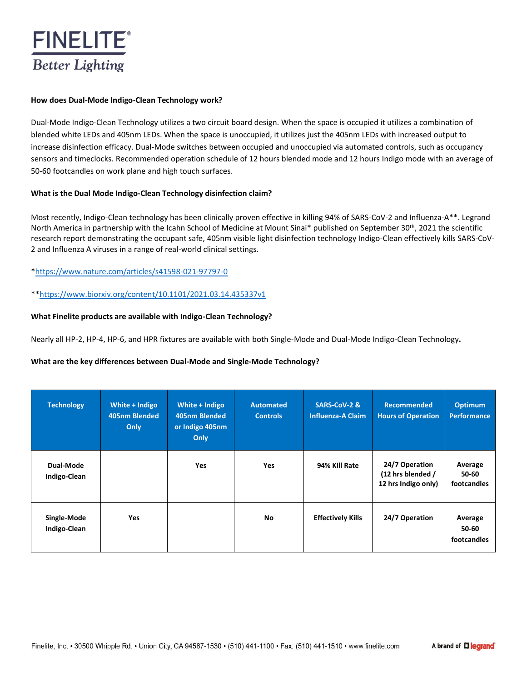

#### **How does Dual-Mode Indigo-Clean Technology work?**

Dual-Mode Indigo-Clean Technology utilizes a two circuit board design. When the space is occupied it utilizes a combination of blended white LEDs and 405nm LEDs. When the space is unoccupied, it utilizes just the 405nm LEDs with increased output to increase disinfection efficacy. Dual-Mode switches between occupied and unoccupied via automated controls, such as occupancy sensors and timeclocks. Recommended operation schedule of 12 hours blended mode and 12 hours Indigo mode with an average of 50-60 footcandles on work plane and high touch surfaces.

# **What is the Dual Mode Indigo-Clean Technology disinfection claim?**

Most recently, Indigo-Clean technology has been clinically proven effective in killing 94% of SARS-CoV-2 and Influenza-A\*\*. Legrand North America in partnership with the Icahn School of Medicine at Mount Sinai\* published on September 30<sup>th</sup>, 2021 the scientific research report demonstrating the occupant safe, 405nm visible light disinfection technology Indigo-Clean effectively kills SARS-CoV-2 and Influenza A viruses in a range of real-world clinical settings.

# [\\*https://www.nature.com/articles/s41598-021-97797-0](https://www.nature.com/articles/s41598-021-97797-0)

\*[\\*https://www.biorxiv.org/content/10.1101/2021.03.14.435337v1](https://www.biorxiv.org/content/10.1101/2021.03.14.435337v1)

# **What Finelite products are available with Indigo-Clean Technology?**

Nearly all HP-2, HP-4, HP-6, and HPR fixtures are available with both Single-Mode and Dual-Mode Indigo-Clean Technology**.**

# **What are the key differences between Dual-Mode and Single-Mode Technology?**

| <b>Technology</b>                | White + Indigo<br>405nm Blended<br>Only | White + Indigo<br>405nm Blended<br>or Indigo 405nm<br>Only | <b>Automated</b><br><b>Controls</b> | SARS-CoV-2 &<br><b>Influenza-A Claim</b> | <b>Recommended</b><br><b>Hours of Operation</b>            | <b>Optimum</b><br>Performance   |
|----------------------------------|-----------------------------------------|------------------------------------------------------------|-------------------------------------|------------------------------------------|------------------------------------------------------------|---------------------------------|
| Dual-Mode<br><b>Indigo-Clean</b> |                                         | Yes                                                        | <b>Yes</b>                          | 94% Kill Rate                            | 24/7 Operation<br>(12 hrs blended /<br>12 hrs Indigo only) | Average<br>50-60<br>footcandles |
| Single-Mode<br>Indigo-Clean      | <b>Yes</b>                              |                                                            | No.                                 | <b>Effectively Kills</b>                 | 24/7 Operation                                             | Average<br>50-60<br>footcandles |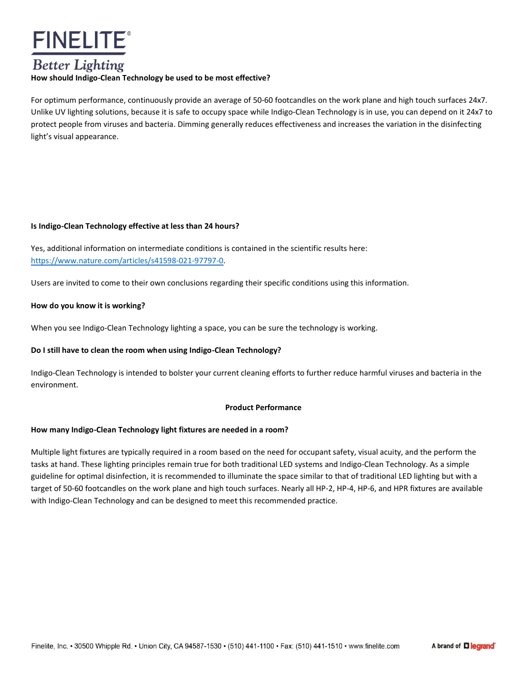

# **Better Lighting**

# **How should Indigo-Clean Technology be used to be most effective?**

For optimum performance, continuously provide an average of 50-60 footcandles on the work plane and high touch surfaces 24x7. Unlike UV lighting solutions, because it is safe to occupy space while Indigo-Clean Technology is in use, you can depend on it 24x7 to protect people from viruses and bacteria. Dimming generally reduces effectiveness and increases the variation in the disinfecting light's visual appearance.

# **Is Indigo-Clean Technology effective at less than 24 hours?**

Yes, additional information on intermediate conditions is contained in the scientific results here: [https://www.nature.com/articles/s41598-021-97797-0.](https://www.nature.com/articles/s41598-021-97797-0)

Users are invited to come to their own conclusions regarding their specific conditions using this information.

# **How do you know it is working?**

When you see Indigo-Clean Technology lighting a space, you can be sure the technology is working.

# **Do I still have to clean the room when using Indigo-Clean Technology?**

Indigo-Clean Technology is intended to bolster your current cleaning efforts to further reduce harmful viruses and bacteria in the environment.

# **Product Performance**

# **How many Indigo-Clean Technology light fixtures are needed in a room?**

Multiple light fixtures are typically required in a room based on the need for occupant safety, visual acuity, and the perform the tasks at hand. These lighting principles remain true for both traditional LED systems and Indigo-Clean Technology. As a simple guideline for optimal disinfection, it is recommended to illuminate the space similar to that of traditional LED lighting but with a target of 50-60 footcandles on the work plane and high touch surfaces. Nearly all HP-2, HP-4, HP-6, and HPR fixtures are available with Indigo-Clean Technology and can be designed to meet this recommended practice.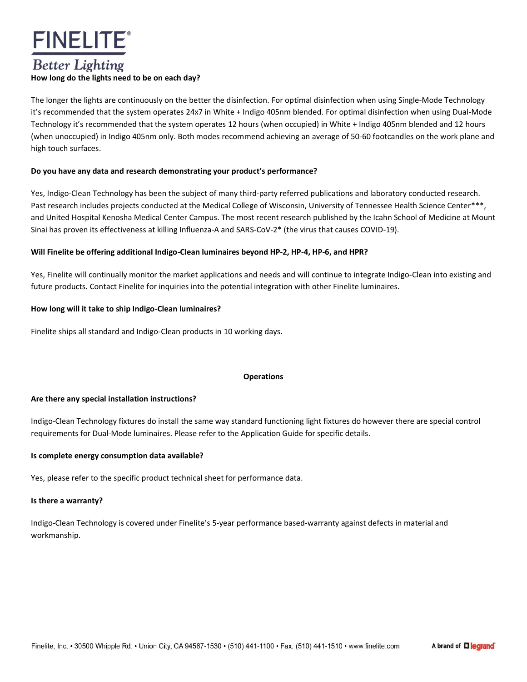

# **Better Lighting**

# **How long do the lights need to be on each day?**

The longer the lights are continuously on the better the disinfection. For optimal disinfection when using Single-Mode Technology it's recommended that the system operates 24x7 in White + Indigo 405nm blended. For optimal disinfection when using Dual-Mode Technology it's recommended that the system operates 12 hours (when occupied) in White + Indigo 405nm blended and 12 hours (when unoccupied) in Indigo 405nm only. Both modes recommend achieving an average of 50-60 footcandles on the work plane and high touch surfaces.

# **Do you have any data and research demonstrating your product's performance?**

Yes, Indigo-Clean Technology has been the subject of many third-party referred publications and laboratory conducted research. Past research includes projects conducted at the Medical College of Wisconsin, University of Tennessee Health Science Center\*\*\*, and United Hospital Kenosha Medical Center Campus. The most recent research published by the Icahn School of Medicine at Mount Sinai has proven its effectiveness at killing Influenza-A and SARS-CoV-2\* (the virus that causes COVID-19).

# **Will Finelite be offering additional Indigo-Clean luminaires beyond HP-2, HP-4, HP-6, and HPR?**

Yes, Finelite will continually monitor the market applications and needs and will continue to integrate Indigo-Clean into existing and future products. Contact Finelite for inquiries into the potential integration with other Finelite luminaires.

# **How long will it take to ship Indigo-Clean luminaires?**

Finelite ships all standard and Indigo-Clean products in 10 working days.

#### **Operations**

#### **Are there any special installation instructions?**

Indigo-Clean Technology fixtures do install the same way standard functioning light fixtures do however there are special control requirements for Dual-Mode luminaires. Please refer to the Application Guide for specific details.

#### **Is complete energy consumption data available?**

Yes, please refer to the specific product technical sheet for performance data.

#### **Is there a warranty?**

Indigo-Clean Technology is covered under Finelite's 5-year performance based-warranty against defects in material and workmanship.